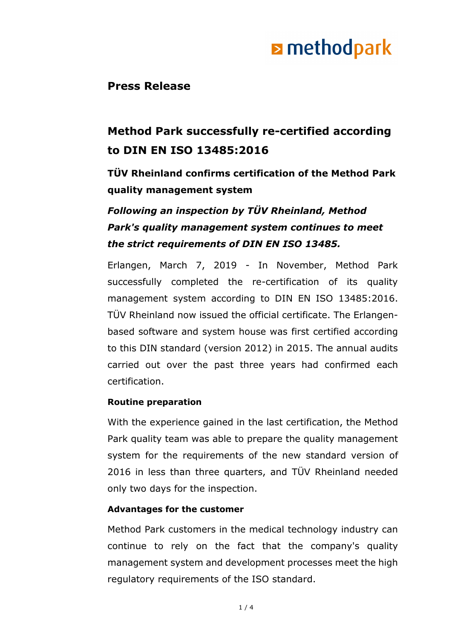## **E** methodpark

### **Press Release**

### **Method Park successfully re-certified according to DIN EN ISO 13485:2016**

**TÜV Rheinland confirms certification of the Method Park quality management system**

### *Following an inspection by TÜV Rheinland, Method Park's quality management system continues to meet the strict requirements of DIN EN ISO 13485.*

Erlangen, March 7, 2019 - In November, Method Park successfully completed the re-certification of its quality management system according to DIN EN ISO 13485:2016. TÜV Rheinland now issued the official certificate. The Erlangenbased software and system house was first certified according to this DIN standard (version 2012) in 2015. The annual audits carried out over the past three years had confirmed each certification.

### **Routine preparation**

With the experience gained in the last certification, the Method Park quality team was able to prepare the quality management system for the requirements of the new standard version of 2016 in less than three quarters, and TÜV Rheinland needed only two days for the inspection.

### **Advantages for the customer**

Method Park customers in the medical technology industry can continue to rely on the fact that the company's quality management system and development processes meet the high regulatory requirements of the ISO standard.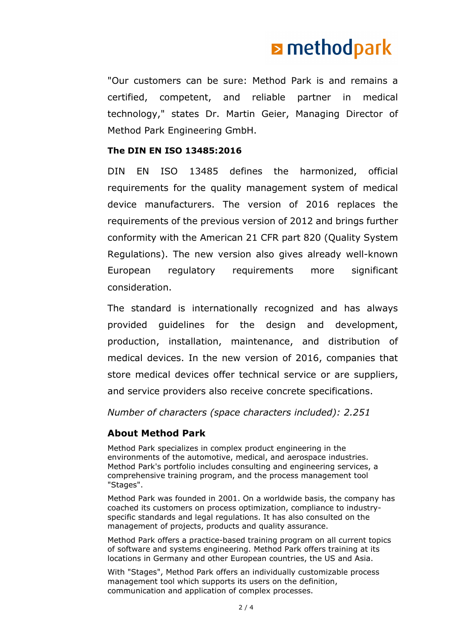## **E** methodpark

"Our customers can be sure: Method Park is and remains a certified, competent, and reliable partner in medical technology," states Dr. Martin Geier, Managing Director of Method Park Engineering GmbH.

### **The DIN EN ISO 13485:2016**

DIN EN ISO 13485 defines the harmonized, official requirements for the quality management system of medical device manufacturers. The version of 2016 replaces the requirements of the previous version of 2012 and brings further conformity with the American 21 CFR part 820 (Quality System Regulations). The new version also gives already well-known European regulatory requirements more significant consideration.

The standard is internationally recognized and has always provided guidelines for the design and development, production, installation, maintenance, and distribution of medical devices. In the new version of 2016, companies that store medical devices offer technical service or are suppliers, and service providers also receive concrete specifications.

*Number of characters (space characters included): 2.251*

### **About Method Park**

Method Park specializes in complex product engineering in the environments of the automotive, medical, and aerospace industries. Method Park's portfolio includes consulting and engineering services, a comprehensive training program, and the process management tool "Stages".

Method Park was founded in 2001. On a worldwide basis, the company has coached its customers on process optimization, compliance to industryspecific standards and legal regulations. It has also consulted on the management of projects, products and quality assurance.

Method Park offers a practice-based training program on all current topics of software and systems engineering. Method Park offers training at its locations in Germany and other European countries, the US and Asia.

With "Stages", Method Park offers an individually customizable process management tool which supports its users on the definition, communication and application of complex processes.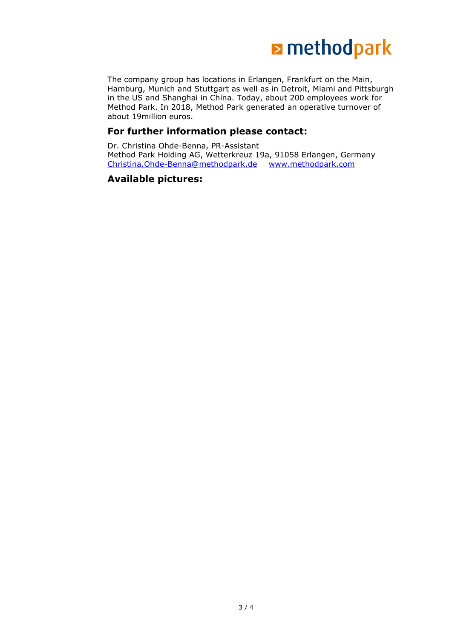

The company group has locations in Erlangen, Frankfurt on the Main, Hamburg, Munich and Stuttgart as well as in Detroit, Miami and Pittsburgh in the US and Shanghai in China. Today, about 200 employees work for Method Park. In 2018, Method Park generated an operative turnover of about 19million euros.

#### **For further information please contact:**

Dr. Christina Ohde-Benna, PR-Assistant Method Park Holding AG, Wetterkreuz 19a, 91058 Erlangen, Germany [Christina.Ohde-Benna@methodpark.de](mailto:Christina.Ohde-Benna@methodpark.de) [www.methodpark.com](http://www.methodpark.com/)

#### **Available pictures:**